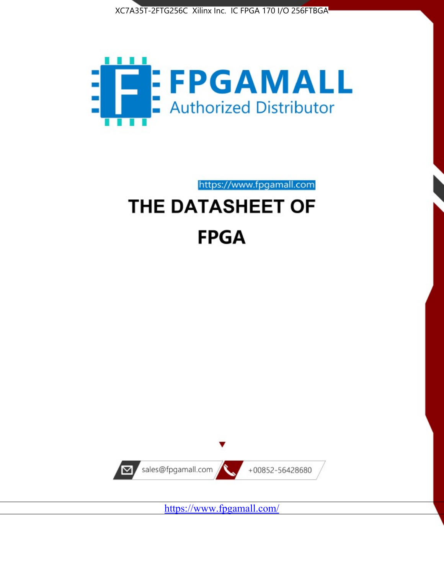



https://www.fpgamall.com THE DATASHEET OF

# **FPGA**



<https://www.fpgamall.com/>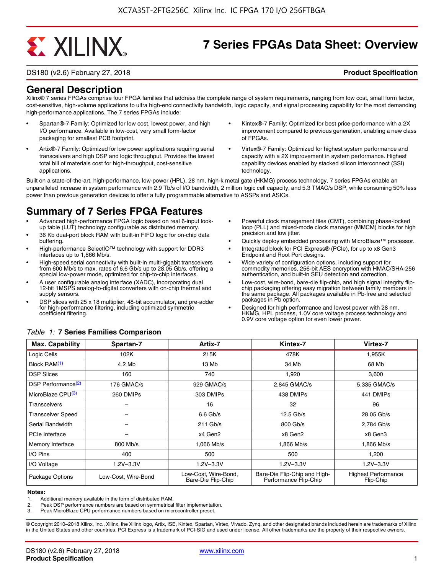# **EXALINX**

## **7 Series FPGAs Data Sheet: Overview**

DS180 (v2.6) February 27, 2018 **Product Specification**

### **General Description**

Xilinx® 7 series FPGAs comprise four FPGA families that address the complete range of system requirements, ranging from low cost, small form factor, cost-sensitive, high-volume applications to ultra high-end connectivity bandwidth, logic capacity, and signal processing capability for the most demanding high-performance applications. The 7 series FPGAs include:

- Spartan®-7 Family: Optimized for low cost, lowest power, and high I/O performance. Available in low-cost, very small form-factor packaging for smallest PCB footprint.
- Artix®-7 Family: Optimized for low power applications requiring serial transceivers and high DSP and logic throughput. Provides the lowest total bill of materials cost for high-throughput, cost-sensitive applications.
- Kintex®-7 Family: Optimized for best price-performance with a 2X improvement compared to previous generation, enabling a new class of FPGAs.
- Virtex®-7 Family: Optimized for highest system performance and capacity with a 2X improvement in system performance. Highest capability devices enabled by stacked silicon interconnect (SSI) technology

Built on a state-of-the-art, high-performance, low-power (HPL), 28 nm, high-k metal gate (HKMG) process technology, 7 series FPGAs enable an unparalleled increase in system performance with 2.9 Tb/s of I/O bandwidth, 2 million logic cell capacity, and 5.3 TMAC/s DSP, while consuming 50% less power than previous generation devices to offer a fully programmable alternative to ASSPs and ASICs.

### **Summary of 7 Series FPGA Features**

- Advanced high-performance FPGA logic based on real 6-input lookup table (LUT) technology configurable as distributed memory.
- 36 Kb dual-port block RAM with built-in FIFO logic for on-chip data buffering.
- High-performance SelectIO™ technology with support for DDR3 interfaces up to 1,866 Mb/s.
- High-speed serial connectivity with built-in multi-gigabit transceivers from 600 Mb/s to max. rates of 6.6 Gb/s up to 28.05 Gb/s, offering a special low-power mode, optimized for chip-to-chip interfaces.
- A user configurable analog interface (XADC), incorporating dual 12-bit 1MSPS analog-to-digital converters with on-chip thermal and supply sensors.
- DSP slices with 25 x 18 multiplier, 48-bit accumulator, and pre-adder for high-performance filtering, including optimized symmetric coefficient filtering.
- Powerful clock management tiles (CMT), combining phase-locked loop (PLL) and mixed-mode clock manager (MMCM) blocks for high precision and low jitter.
- Quickly deploy embedded processing with MicroBlaze™ processor.
- Integrated block for PCI Express® (PCIe), for up to x8 Gen3 Endpoint and Root Port designs.
- Wide variety of configuration options, including support for commodity memories, 256-bit AES encryption with HMAC/SHA-256 authentication, and built-in SEU detection and correction.
- Low-cost, wire-bond, bare-die flip-chip, and high signal integrity flipchip packaging offering easy migration between family members in the same package. All packages available in Pb-free and selected packages in Pb option.
- Designed for high performance and lowest power with 28 nm, HKMG, HPL process, 1.0V core voltage process technology and 0.9V core voltage option for even lower power.

| <b>Max. Capability</b>         | Spartan-7           | Artix-7                                    | Kintex-7                                              | Virtex-7                                |
|--------------------------------|---------------------|--------------------------------------------|-------------------------------------------------------|-----------------------------------------|
| Logic Cells                    | 102K                | 215K                                       | 478K                                                  | 1,955K                                  |
| Block RAM <sup>(1)</sup>       | 4.2 Mb              | 13 Mb                                      | 34 Mb                                                 | 68 Mb                                   |
| <b>DSP Slices</b>              | 160                 | 740                                        | 1,920                                                 | 3,600                                   |
| DSP Performance <sup>(2)</sup> | 176 GMAC/s          | 929 GMAC/s                                 | 2,845 GMAC/s                                          | 5,335 GMAC/s                            |
| MicroBlaze CPU <sup>(3)</sup>  | 260 DMIPs           | 303 DMIPs                                  | 438 DMIPs                                             | 441 DMIPs                               |
| Transceivers                   |                     | 16                                         | 32                                                    | 96                                      |
| <b>Transceiver Speed</b>       |                     | $6.6$ Gb/s                                 | $12.5$ Gb/s                                           | 28.05 Gb/s                              |
| Serial Bandwidth               |                     | $211$ Gb/s                                 | 800 Gb/s                                              | 2,784 Gb/s                              |
| PCIe Interface                 | -                   | x4 Gen2                                    | x8 Gen2                                               | x8 Gen3                                 |
| Memory Interface               | 800 Mb/s            | 1.066 Mb/s                                 | 1.866 Mb/s                                            | 1.866 Mb/s                              |
| I/O Pins                       | 400                 | 500                                        | 500                                                   | 1,200                                   |
| I/O Voltage                    | $1.2V - 3.3V$       | $1.2V - 3.3V$                              | $1.2V - 3.3V$                                         | $1.2V - 3.3V$                           |
| Package Options                | Low-Cost, Wire-Bond | Low-Cost, Wire-Bond,<br>Bare-Die Flip-Chip | Bare-Die Flip-Chip and High-<br>Performance Flip-Chip | <b>Highest Performance</b><br>Flip-Chip |

#### *Table 1:* **7 Series Families Comparison**

#### **Notes:**

1. Additional memory available in the form of distributed RAM.

2. Peak DSP performance numbers are based on symmetrical filter implementation.<br>3. Peak MicroBlaze CPU performance numbers based on microcontroller preset.

Peak MicroBlaze CPU performance numbers based on microcontroller preset.

© Copyright 2010–2018 Xilinx, Inc., Xilinx, the Xilinx logo, Artix, ISE, Kintex, Spartan, Virtex, Vivado, Zynq, and other designated brands included herein are trademarks of Xilinx in the United States and other countries. PCI Express is a trademark of PCI-SIG and used under license. All other trademarks are the property of their respective owners.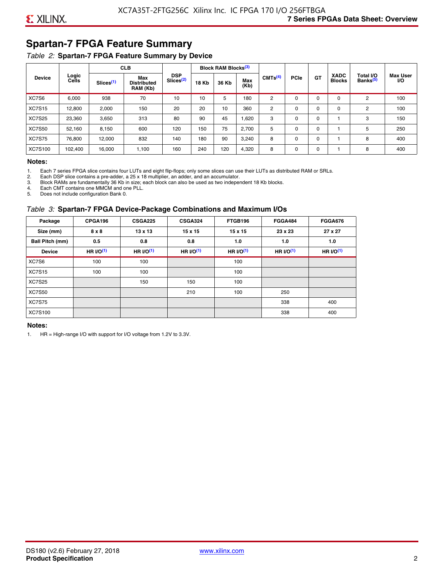### **Spartan-7 FPGA Feature Summary**

### *Table 2:* **Spartan-7 FPGA Feature Summary by Device**

|               |                |                       | <b>CLB</b>                            |                                     |              | <b>Block RAM Blocks</b> <sup>(3)</sup> |             |                     |             |           |                              |                                   |                              |
|---------------|----------------|-----------------------|---------------------------------------|-------------------------------------|--------------|----------------------------------------|-------------|---------------------|-------------|-----------|------------------------------|-----------------------------------|------------------------------|
| <b>Device</b> | Logic<br>Cells | Slices <sup>(1)</sup> | Max<br><b>Distributed</b><br>RAM (Kb) | <b>DSP</b><br>Slices <sup>(2)</sup> | <b>18 Kb</b> | 36 Kb                                  | Max<br>(Kb) | CMTS <sup>(4)</sup> | <b>PCIe</b> | <b>GT</b> | <b>XADC</b><br><b>Blocks</b> | Total I/O<br>Banks <sup>(5)</sup> | <b>Max User</b><br><b>VO</b> |
| XC7S6         | 6,000          | 938                   | 70                                    | 10                                  | 10           | 5                                      | 180         | 2                   | $\Omega$    | $\Omega$  | $\Omega$                     | 2                                 | 100                          |
| <b>XC7S15</b> | 12,800         | 2,000                 | 150                                   | 20                                  | 20           | 10                                     | 360         | 2                   | $\Omega$    | 0         | 0                            | 2                                 | 100                          |
| <b>XC7S25</b> | 23,360         | 3,650                 | 313                                   | 80                                  | 90           | 45                                     | .620        | 3                   | $\Omega$    | 0         |                              | 3                                 | 150                          |
| <b>XC7S50</b> | 52,160         | 8,150                 | 600                                   | 120                                 | 150          | 75                                     | 2,700       | 5                   | $\Omega$    | $\Omega$  |                              | 5                                 | 250                          |
| <b>XC7S75</b> | 76.800         | 12.000                | 832                                   | 140                                 | 180          | 90                                     | 3,240       | 8                   | 0           | 0         |                              | 8                                 | 400                          |
| XC7S100       | 102,400        | 16,000                | 1,100                                 | 160                                 | 240          | 120                                    | 4,320       | 8                   | 0           | 0         |                              | 8                                 | 400                          |

#### **Notes:**

1. Each 7 series FPGA slice contains four LUTs and eight flip-flops; only some slices can use their LUTs as distributed RAM or SRLs.<br>2. Each DSP slice contains a pre-adder. a 25 x 18 multiplier. an adder. and an accumulato

2. Each DSP slice contains a pre-adder, a 25 x 18 multiplier, an adder, and an accumulator. 3. Block RAMs are fundamentally 36 Kb in size; each block can also be used as two independent 18 Kb blocks.

4. Each CMT contains one MMCM and one PLL.

5. Does not include configuration Bank 0.

#### *Table 3:* **Spartan-7 FPGA Device-Package Combinations and Maximum I/Os**

| Package         | CPGA196    | <b>CSGA225</b> | <b>CSGA324</b> | FTGB196     | <b>FGGA484</b> | <b>FGGA676</b> |
|-----------------|------------|----------------|----------------|-------------|----------------|----------------|
| Size (mm)       | 8 x 8      | $13 \times 13$ | $15 \times 15$ | 15 x 15     | 23 x 23        | 27 x 27        |
| Ball Pitch (mm) | 0.5        | 0.8            | 0.8            | 1.0         | 1.0            | 1.0            |
| <b>Device</b>   | HR $l$ (1) | HR $UO(1)$     | HR $UO(1)$     | HR $l/O(1)$ | HR $I/O(1)$    | HR $l/O(1)$    |
| XC7S6           | 100        | 100            |                | 100         |                |                |
| <b>XC7S15</b>   | 100        | 100            |                | 100         |                |                |
| <b>XC7S25</b>   |            | 150            | 150            | 100         |                |                |
| <b>XC7S50</b>   |            |                | 210            | 100         | 250            |                |
| <b>XC7S75</b>   |            |                |                |             | 338            | 400            |
| <b>XC7S100</b>  |            |                |                |             | 338            | 400            |

#### **Notes:**

1. HR = High-range I/O with support for I/O voltage from 1.2V to 3.3V.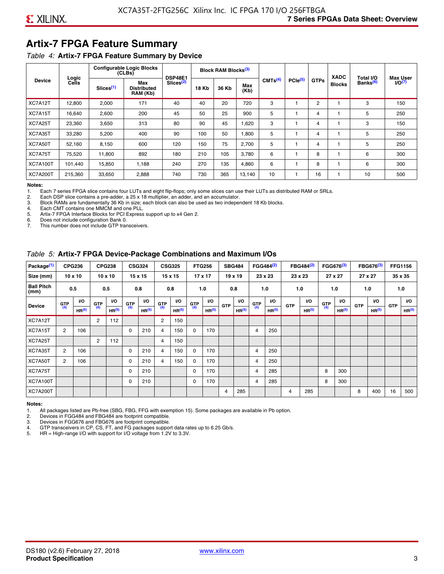### **Artix-7 FPGA Feature Summary**

#### *Table 4:* **Artix-7 FPGA Feature Summary by Device**

|                 | Logic   |                       | <b>Configurable Logic Blocks</b><br>(CLBs) | <b>DSP48E1</b>        |              | <b>Block RAM Blocks</b> <sup>(3)</sup> |             |                     |              |             | <b>XADC</b>   | Total I/O            | <b>Max User</b> |
|-----------------|---------|-----------------------|--------------------------------------------|-----------------------|--------------|----------------------------------------|-------------|---------------------|--------------|-------------|---------------|----------------------|-----------------|
| <b>Device</b>   | Cells   | Slices <sup>(1)</sup> | Max<br><b>Distributed</b><br>RAM (Kb)      | Slices <sup>(2)</sup> | <b>18 Kb</b> | 36 Kb                                  | Max<br>(Kb) | CMTS <sup>(4)</sup> | $PCle^{(5)}$ | <b>GTPs</b> | <b>Blocks</b> | Banks <sup>(6)</sup> | $I/O(7)$        |
| XC7A12T         | 12,800  | 2,000                 | 171                                        | 40                    | 40           | 20                                     | 720         | 3                   |              | 2           |               | 3                    | 150             |
| XC7A15T         | 16,640  | 2,600                 | 200                                        | 45                    | 50           | 25                                     | 900         | 5                   |              | 4           |               | 5                    | 250             |
| XC7A25T         | 23,360  | 3,650                 | 313                                        | 80                    | 90           | 45                                     | .620        | 3                   |              | 4           |               | 3                    | 150             |
| XC7A35T         | 33,280  | 5,200                 | 400                                        | 90                    | 100          | 50                                     | 008,        | 5                   |              | 4           |               | 5                    | 250             |
| XC7A50T         | 52,160  | 8,150                 | 600                                        | 120                   | 150          | 75                                     | 2,700       | 5                   |              | 4           |               | 5                    | 250             |
| XC7A75T         | 75,520  | 11,800                | 892                                        | 180                   | 210          | 105                                    | 3,780       | 6                   |              | 8           |               | 6                    | 300             |
| <b>XC7A100T</b> | 101.440 | 15.850                | 1.188                                      | 240                   | 270          | 135                                    | 4,860       | 6                   |              | 8           |               | 6                    | 300             |
| <b>XC7A200T</b> | 215,360 | 33,650                | 2,888                                      | 740                   | 730          | 365                                    | 13,140      | 10                  |              | 16          |               | 10                   | 500             |

**Notes:**  Each 7 series FPGA slice contains four LUTs and eight flip-flops; only some slices can use their LUTs as distributed RAM or SRLs.

2. Each DSP slice contains a pre-adder, a 25 x 18 multiplier, an adder, and an accumulator.

3. Block RAMs are fundamentally 36 Kb in size; each block can also be used as two independent 18 Kb blocks.

4. Each CMT contains one MMCM and one PLL.<br>5. Artix-7 FPGA Interface Blocks for PCI Express

5. Artix-7 FPGA Interface Blocks for PCI Express support up to x4 Gen 2.<br>6. Does not include configuration Bank 0.

6. Does not include configuration Bank 0.

This number does not include GTP transceivers.

#### *Table 5:* **Artix-7 FPGA Device-Package Combinations and Maximum I/Os**

| Package <sup>(1)</sup>    |            | <b>CPG236</b>     |                | <b>CPG238</b>  |            | <b>CSG324</b> |                | <b>CSG325</b>     |       | <b>FTG256</b>     |            | <b>SBG484</b>     |                | FGG484 <sup>(2)</sup> |                | FBG484 <sup>(2)</sup> |       | FGG676 <sup>(3)</sup> |            | FBG676 <sup>(3)</sup> |            | <b>FFG1156</b> |
|---------------------------|------------|-------------------|----------------|----------------|------------|---------------|----------------|-------------------|-------|-------------------|------------|-------------------|----------------|-----------------------|----------------|-----------------------|-------|-----------------------|------------|-----------------------|------------|----------------|
| Size (mm)                 |            | $10 \times 10$    |                | $10 \times 10$ |            | 15 x 15       |                | 15 x 15           |       | $17 \times 17$    |            | $19 \times 19$    |                | 23 x 23               |                | 23 x 23               |       | 27 x 27               |            | 27 x 27               |            | 35 x 35        |
| <b>Ball Pitch</b><br>(mm) |            | 0.5               |                | 0.5            |            | 0.8           | 0.8            |                   |       | 1.0               |            | 0.8               |                | 1.0                   |                | 1.0                   |       | 1.0                   |            | 1.0                   |            | 1.0            |
| <b>Device</b>             | <b>GTP</b> | <b>VO</b>         | <b>GTP</b>     | <b>VO</b>      | <b>GTP</b> | <b>VO</b>     | <b>GTP</b>     | <b>VO</b>         | G(TP) | VO.               | <b>GTP</b> | VO.               | G(TP)          | <b>VO</b>             | <b>GTP</b>     | <b>VO</b>             | G(TP) | <b>VO</b>             | <b>GTP</b> | <b>VO</b>             | <b>GTP</b> | <b>VO</b>      |
|                           | (4)        | HR <sup>(5)</sup> | (4)            | HR(5)          | (4)        | HP(5)         | (4)            | HR <sup>(5)</sup> |       | HR <sup>(5)</sup> |            | HR <sup>(5)</sup> |                | HR <sup>(5)</sup>     |                | HR <sup>(5)</sup>     |       | HR <sup>(5)</sup>     |            | HR <sup>(5)</sup>     |            | HR(5)          |
| XC7A12T                   |            |                   | $\overline{2}$ | 112            |            |               | $\overline{2}$ | 150               |       |                   |            |                   |                |                       |                |                       |       |                       |            |                       |            |                |
| XC7A15T                   | 2          | 106               |                |                | 0          | 210           | 4              | 150               | 0     | 170               |            |                   | $\overline{4}$ | 250                   |                |                       |       |                       |            |                       |            |                |
| XC7A25T                   |            |                   | 2              | 112            |            |               | 4              | 150               |       |                   |            |                   |                |                       |                |                       |       |                       |            |                       |            |                |
| XC7A35T                   | 2          | 106               |                |                | 0          | 210           | 4              | 150               | 0     | 170               |            |                   | 4              | 250                   |                |                       |       |                       |            |                       |            |                |
| XC7A50T                   | 2          | 106               |                |                | 0          | 210           | 4              | 150               | 0     | 170               |            |                   | 4              | 250                   |                |                       |       |                       |            |                       |            |                |
| XC7A75T                   |            |                   |                |                | 0          | 210           |                |                   | 0     | 170               |            |                   | 4              | 285                   |                |                       | 8     | 300                   |            |                       |            |                |
| <b>XC7A100T</b>           |            |                   |                |                | 0          | 210           |                |                   | 0     | 170               |            |                   | $\overline{4}$ | 285                   |                |                       | 8     | 300                   |            |                       |            |                |
| <b>XC7A200T</b>           |            |                   |                |                |            |               |                |                   |       |                   | 4          | 285               |                |                       | $\overline{4}$ | 285                   |       |                       | 8          | 400                   | 16         | 500            |

#### **Notes:**

1. All packages listed are Pb-free (SBG, FBG, FFG with exemption 15). Some packages are available in Pb option.

2. Devices in FGG484 and FBG484 are footprint compatible.

3. Devices in FGG676 and FBG676 are footprint compatible.

4. GTP transceivers in CP, CS, FT, and FG packages support data rates up to 6.25 Gb/s.<br>5. HR = High-range I/O with support for I/O voltage from 1.2V to 3.3V.

HR = High-range I/O with support for I/O voltage from 1.2V to 3.3V.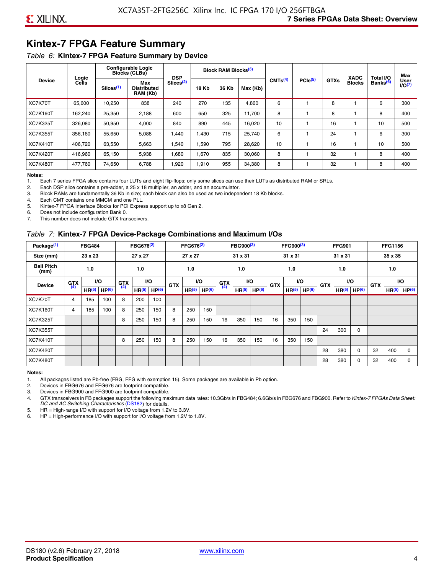### **Kintex-7 FPGA Feature Summary**

#### *Table 6:* **Kintex-7 FPGA Feature Summary by Device**

|                 |                |                       | <b>Configurable Logic</b><br><b>Blocks (CLBs)</b> | <b>DSP</b>            |              | <b>Block RAM Blocks</b> <sup>(3)</sup> |          |                     |              |             | <b>XADC</b>   | Total I/O            | Max                 |
|-----------------|----------------|-----------------------|---------------------------------------------------|-----------------------|--------------|----------------------------------------|----------|---------------------|--------------|-------------|---------------|----------------------|---------------------|
| <b>Device</b>   | Logic<br>Cells | Slices <sup>(1)</sup> | Max<br><b>Distributed</b><br>RAM (Kb)             | Slices <sup>(2)</sup> | <b>18 Kb</b> | 36 Kb                                  | Max (Kb) | CMTS <sup>(4)</sup> | $PCle^{(5)}$ | <b>GTXs</b> | <b>Blocks</b> | Banks <sup>(6)</sup> | User<br>$U$ O $(7)$ |
| XC7K70T         | 65,600         | 10,250                | 838                                               | 240                   | 270          | 135                                    | 4,860    | 6                   |              | 8           |               | 6                    | 300                 |
| <b>XC7K160T</b> | 162,240        | 25,350                | 2,188                                             | 600                   | 650          | 325                                    | 11,700   | 8                   |              | 8           |               | 8                    | 400                 |
| <b>XC7K325T</b> | 326.080        | 50.950                | 4,000                                             | 840                   | 890          | 445                                    | 16,020   | 10                  |              | 16          |               | 10                   | 500                 |
| <b>XC7K355T</b> | 356.160        | 55,650                | 5,088                                             | 1,440                 | 1.430        | 715                                    | 25,740   | 6                   |              | 24          |               | 6                    | 300                 |
| <b>XC7K410T</b> | 406,720        | 63,550                | 5,663                                             | 1,540                 | 1,590        | 795                                    | 28,620   | 10                  |              | 16          |               | 10                   | 500                 |
| <b>XC7K420T</b> | 416,960        | 65,150                | 5,938                                             | 1,680                 | 1,670        | 835                                    | 30,060   | 8                   |              | 32          |               | 8                    | 400                 |
| <b>XC7K480T</b> | 477.760        | 74,650                | 6,788                                             | 1,920                 | 1,910        | 955                                    | 34,380   | 8                   |              | 32          |               | 8                    | 400                 |

#### **Notes:**

1. Each 7 series FPGA slice contains four LUTs and eight flip-flops; only some slices can use their LUTs as distributed RAM or SRLs.<br>2. Each DSP slice contains a pre-adder, a 25 x 18 multiplier, an adder, and an accumulato

Each DSP slice contains a pre-adder, a 25 x 18 multiplier, an adder, and an accumulator.

3. Block RAMs are fundamentally 36 Kb in size; each block can also be used as two independent 18 Kb blocks.

4. Each CMT contains one MMCM and one PLL.

5. Kintex-7 FPGA Interface Blocks for PCI Express support up to x8 Gen 2.

6. Does not include configuration Bank 0.

7. This number does not include GTX transceivers.

#### *Table 7:* **Kintex-7 FPGA Device-Package Combinations and Maximum I/Os**

| Package <sup>(1)</sup>    |            | <b>FBG484</b>     |                   |            | FBG676 <sup>(2)</sup> |                   |            | FFG676 <sup>(2)</sup> |                   |            | FBG900 <sup>(3)</sup> |                   |            | FFG900 <sup>(3)</sup> |                   |            | <b>FFG901</b>     |                   |            | <b>FFG1156</b>    |                   |
|---------------------------|------------|-------------------|-------------------|------------|-----------------------|-------------------|------------|-----------------------|-------------------|------------|-----------------------|-------------------|------------|-----------------------|-------------------|------------|-------------------|-------------------|------------|-------------------|-------------------|
| Size (mm)                 |            | 23 x 23           |                   |            | 27 x 27               |                   |            | 27 x 27               |                   |            | 31 x 31               |                   |            | 31 x 31               |                   |            | 31 x 31           |                   |            | 35 x 35           |                   |
| <b>Ball Pitch</b><br>(mm) |            | 1.0               |                   |            | 1.0                   |                   |            | 1.0                   |                   |            | 1.0                   |                   |            | 1.0                   |                   |            | 1.0               |                   |            | 1.0               |                   |
| <b>Device</b>             | <b>GTX</b> |                   | VO.               | <b>GTX</b> | <b>VO</b>             |                   | <b>GTX</b> |                       | <b>VO</b>         | <b>GTX</b> |                       | <b>VO</b>         | <b>GTX</b> | <b>VO</b>             |                   | <b>GTX</b> |                   | VO                | <b>GTX</b> | <b>VO</b>         |                   |
|                           | (4)        | HR <sup>(5)</sup> | HP <sup>(6)</sup> | (4)        | HR <sup>(5)</sup>     | HP <sup>(6)</sup> |            | HR <sup>(5)</sup>     | HP <sup>(6)</sup> | (4)        | HR <sup>(5)</sup>     | HP <sup>(6)</sup> |            | HR <sup>(5)</sup>     | HP <sup>(6)</sup> |            | HR <sup>(5)</sup> | HP <sup>(6)</sup> |            | HR <sup>(5)</sup> | HP <sup>(6)</sup> |
| XC7K70T                   | 4          | 185               | 100               | 8          | 200                   | 100               |            |                       |                   |            |                       |                   |            |                       |                   |            |                   |                   |            |                   |                   |
| <b>XC7K160T</b>           | 4          | 185               | 100               | 8          | 250                   | 150               | 8          | 250                   | 150               |            |                       |                   |            |                       |                   |            |                   |                   |            |                   |                   |
| <b>XC7K325T</b>           |            |                   |                   | 8          | 250                   | 150               | 8          | 250                   | 150               | 16         | 350                   | 150               | 16         | 350                   | 150               |            |                   |                   |            |                   |                   |
| <b>XC7K355T</b>           |            |                   |                   |            |                       |                   |            |                       |                   |            |                       |                   |            |                       |                   | 24         | 300               | 0                 |            |                   |                   |
| <b>XC7K410T</b>           |            |                   |                   | 8          | 250                   | 150               | 8          | 250                   | 150               | 16         | 350                   | 150               | 16         | 350                   | 150               |            |                   |                   |            |                   |                   |
| <b>XC7K420T</b>           |            |                   |                   |            |                       |                   |            |                       |                   |            |                       |                   |            |                       |                   | 28         | 380               | $\Omega$          | 32         | 400               | $\Omega$          |
| <b>XC7K480T</b>           |            |                   |                   |            |                       |                   |            |                       |                   |            |                       |                   |            |                       |                   | 28         | 380               | 0                 | 32         | 400               | $\Omega$          |

#### **Notes:**

1. All packages listed are Pb-free (FBG, FFG with exemption 15). Some packages are available in Pb option.

2. Devices in FBG676 and FFG676 are footprint compatible.

3. Devices in FBG900 and FFG900 are footprint compatible. 4. GTX transceivers in FB packages support the following maximum data rates: 10.3Gb/s in FBG484; 6.6Gb/s in FBG676 and FBG900. Refer to *Kintex-7 FPGAs Data Sheet: DC and AC Switching Characteristics* [\(DS182](https://www.xilinx.com/support/documentation/data_sheets/ds182_Kintex_7_Data_Sheet.pdf)) for details.

5. HR = High-range I/O with support for I/O voltage from 1.2V to 3.3V.

6. HP = High-performance I/O with support for I/O voltage from 1.2V to 1.8V.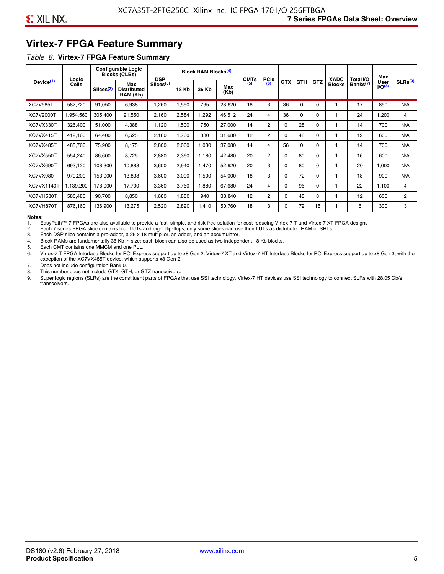### **Virtex-7 FPGA Feature Summary**

#### *Table 8:* **Virtex-7 FPGA Feature Summary**

|                       |                       |                       | <b>Configurable Logic</b><br><b>Blocks (CLBs)</b> | <b>DSP</b>            |       | <b>Block RAM Blocks<sup>(4)</sup></b> |             | <b>CMTs</b> | <b>PCIe</b>    |            |            |            | <b>XADC</b>   | Total I/O            | Max                        |                     |
|-----------------------|-----------------------|-----------------------|---------------------------------------------------|-----------------------|-------|---------------------------------------|-------------|-------------|----------------|------------|------------|------------|---------------|----------------------|----------------------------|---------------------|
| Device <sup>(1)</sup> | Logic<br><b>Cells</b> | Slices <sup>(2)</sup> | Max<br><b>Distributed</b><br>RAM (Kb)             | Slices <sup>(3)</sup> | 18 Kb | 36 Kb                                 | Max<br>(Kb) | (5)         | (6)            | <b>GTX</b> | <b>GTH</b> | <b>GTZ</b> | <b>Blocks</b> | Banks <sup>(7)</sup> | <b>User</b><br>$1/O^{(8)}$ | SLRs <sup>(9)</sup> |
| <b>XC7V585T</b>       | 582.720               | 91,050                | 6,938                                             | .260                  | .590  | 795                                   | 28,620      | 18          | 3              | 36         | 0          | $\Omega$   |               | 17                   | 850                        | N/A                 |
| <b>XC7V2000T</b>      | 1,954,560             | 305,400               | 21,550                                            | 2,160                 | 2,584 | ,292                                  | 46,512      | 24          | 4              | 36         | 0          | 0          |               | 24                   | .200                       | 4                   |
| XC7VX330T             | 326,400               | 51,000                | 4,388                                             | 1,120                 | .500  | 750                                   | 27,000      | 14          | $\overline{2}$ | 0          | 28         | 0          |               | 14                   | 700                        | N/A                 |
| XC7VX415T             | 412,160               | 64,400                | 6,525                                             | 2,160                 | 1,760 | 880                                   | 31,680      | 12          | $\overline{2}$ | $\Omega$   | 48         | $\Omega$   |               | 12                   | 600                        | N/A                 |
| XC7VX485T             | 485,760               | 75,900                | 8,175                                             | 2,800                 | 2,060 | 1,030                                 | 37,080      | 14          | 4              | 56         | $\Omega$   | 0          |               | 14                   | 700                        | N/A                 |
| XC7VX550T             | 554,240               | 86,600                | 8,725                                             | 2,880                 | 2,360 | 1,180                                 | 42,480      | 20          | 2              | 0          | 80         | 0          |               | 16                   | 600                        | N/A                 |
| XC7VX690T             | 693,120               | 108,300               | 10,888                                            | 3,600                 | 2,940 | 1,470                                 | 52,920      | 20          | 3              | 0          | 80         | 0          |               | 20                   | 1,000                      | N/A                 |
| XC7VX980T             | 979,200               | 153,000               | 13,838                                            | 3,600                 | 3,000 | 1,500                                 | 54,000      | 18          | 3              | 0          | 72         | 0          |               | 18                   | 900                        | N/A                 |
| <b>XC7VX1140T</b>     | 1,139,200             | 178,000               | 17.700                                            | 3,360                 | 3.760 | ,880                                  | 67,680      | 24          | 4              | 0          | 96         | 0          |               | 22                   | 1.100                      | 4                   |
| XC7VH580T             | 580,480               | 90,700                | 8,850                                             | <b>680</b>            | 1,880 | 940                                   | 33,840      | 12          | $\overline{2}$ | 0          | 48         | 8          |               | 12                   | 600                        | $\overline{2}$      |
| XC7VH870T             | 876,160               | 136,900               | 13,275                                            | 2,520                 | 2,820 | 1,410                                 | 50,760      | 18          | 3              | 0          | 72         | 16         |               | 6                    | 300                        | 3                   |

#### **Notes:**

1. EasyPath™-7 FPGAs are also available to provide a fast, simple, and risk-free solution for cost reducing Virtex-7 T and Virtex-7 XT FPGA designs

2. Each 7 series FPGA slice contains four LUTs and eight flip-flops; only some slices can use their LUTs as distributed RAM or SRLs.

Each DSP slice contains a pre-adder, a 25 x 18 multiplier, an adder, and an accumulator.

4. Block RAMs are fundamentally 36 Kb in size; each block can also be used as two independent 18 Kb blocks.

5. Each CMT contains one MMCM and one PLL.

6. Virtex-7 T FPGA Interface Blocks for PCI Express support up to x8 Gen 2. Virtex-7 XT and Virtex-7 HT Interface Blocks for PCI Express support up to x8 Gen 3, with the exception of the XC7VX485T device, which supports x8 Gen 2.

7. Does not include configuration Bank 0.

8. This number does not include GTX, GTH, or GTZ transceivers.

9. Super logic regions (SLRs) are the constituent parts of FPGAs that use SSI technology. Virtex-7 HT devices use SSI technology to connect SLRs with 28.05 Gb/s transceivers.

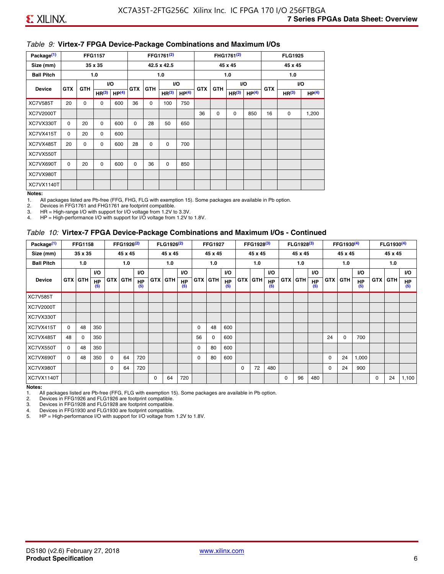#### *Table 9:* **Virtex-7 FPGA Device-Package Combinations and Maximum I/Os**

| Package <sup>(1)</sup> |            |             | <b>FFG1157</b>    |                   |            |            | FFG1761 <sup>(2)</sup> |                   |            |             | FHG1761 <sup>(2)</sup> |                   |            | <b>FLG1925</b>    |                   |
|------------------------|------------|-------------|-------------------|-------------------|------------|------------|------------------------|-------------------|------------|-------------|------------------------|-------------------|------------|-------------------|-------------------|
| Size (mm)              |            |             | 35 x 35           |                   |            |            | 42.5 x 42.5            |                   |            |             | 45 x 45                |                   |            | 45 x 45           |                   |
| <b>Ball Pitch</b>      |            |             | 1.0               |                   |            |            | 1.0                    |                   |            |             | 1.0                    |                   |            | 1.0               |                   |
| <b>Device</b>          | <b>GTX</b> | <b>GTH</b>  |                   | I/O               | <b>GTX</b> | <b>GTH</b> |                        | I/O               | <b>GTX</b> | <b>GTH</b>  | VO.                    |                   | <b>GTX</b> |                   | VO.               |
|                        |            |             | HR <sup>(3)</sup> | HP <sup>(4)</sup> |            |            | HR <sup>(3)</sup>      | HP <sup>(4)</sup> |            |             | HR <sup>(3)</sup>      | HP <sup>(4)</sup> |            | HR <sup>(3)</sup> | HP <sup>(4)</sup> |
| <b>XC7V585T</b>        | 20         | $\mathbf 0$ | 0                 | 600               | 36         | 0          | 100                    | 750               |            |             |                        |                   |            |                   |                   |
| XC7V2000T              |            |             |                   |                   |            |            |                        |                   | 36         | $\mathbf 0$ | 0                      | 850               | 16         | 0                 | 1,200             |
| XC7VX330T              | $\Omega$   | 20          | $\Omega$          | 600               | 0          | 28         | 50                     | 650               |            |             |                        |                   |            |                   |                   |
| XC7VX415T              | 0          | 20          | $\Omega$          | 600               |            |            |                        |                   |            |             |                        |                   |            |                   |                   |
| XC7VX485T              | 20         | 0           | 0                 | 600               | 28         | 0          | 0                      | 700               |            |             |                        |                   |            |                   |                   |
| XC7VX550T              |            |             |                   |                   |            |            |                        |                   |            |             |                        |                   |            |                   |                   |
| XC7VX690T              | $\Omega$   | 20          | $\Omega$          | 600               | $\Omega$   | 36         | 0                      | 850               |            |             |                        |                   |            |                   |                   |
| XC7VX980T              |            |             |                   |                   |            |            |                        |                   |            |             |                        |                   |            |                   |                   |
| XC7VX1140T             |            |             |                   |                   |            |            |                        |                   |            |             |                        |                   |            |                   |                   |

#### **Notes:**

1. All packages listed are Pb-free (FFG, FHG, FLG with exemption 15). Some packages are available in Pb option.

2. Devices in FFG1761 and FHG1761 are footprint compatible.<br>3. HR = High-range I/O with support for I/O voltage from 1.2V to

HR = High-range I/O with support for I/O voltage from 1.2V to 3.3V.

4. HP = High-performance I/O with support for I/O voltage from 1.2V to 1.8V.

#### *Table 10:* **Virtex-7 FPGA Device-Package Combinations and Maximum I/Os - Continued**

| Package <sup>(1)</sup> |          | <b>FFG1158</b> |                  |            | FFG1926 <sup>(2)</sup> |                  |            | FLG1926 <sup>(2)</sup> |                  |    | <b>FFG1927</b> |                  |            | FFG1928 <sup>(3)</sup> |                  |            | FLG1928 <sup>(3)</sup> |                  |            | FFG1930 <sup>(4)</sup> |           |            | $FLG1930^{(4)}$ |                  |
|------------------------|----------|----------------|------------------|------------|------------------------|------------------|------------|------------------------|------------------|----|----------------|------------------|------------|------------------------|------------------|------------|------------------------|------------------|------------|------------------------|-----------|------------|-----------------|------------------|
| Size (mm)              |          | 35 x 35        |                  |            | 45 x 45                |                  |            | 45 x 45                |                  |    | 45 x 45        |                  |            | 45 x 45                |                  |            | 45 x 45                |                  |            | 45 x 45                |           |            | 45 x 45         |                  |
| <b>Ball Pitch</b>      |          | 1.0            |                  |            | 1.0                    |                  |            | 1.0                    |                  |    | 1.0            |                  |            | 1.0                    |                  |            | 1.0                    |                  |            | 1.0                    |           |            | 1.0             |                  |
|                        |          |                | <b>VO</b>        |            |                        | <b>VO</b>        |            |                        | <b>VO</b>        |    |                | <b>VO</b>        |            |                        | <b>VO</b>        |            |                        | <b>VO</b>        |            |                        | <b>VO</b> |            |                 | VO.              |
| <b>Device</b>          |          | <b>GTX GTH</b> | <b>HP</b><br>(5) | <b>GTX</b> | <b>GTH</b>             | <b>HP</b><br>(5) | <b>GTX</b> | <b>GTH</b>             | <b>HP</b><br>(5) |    | <b>GTX GTH</b> | <b>HP</b><br>(5) | <b>GTX</b> | <b>GTH</b>             | <b>HP</b><br>(5) | <b>GTX</b> | <b>GTH</b>             | <b>HP</b><br>(5) | <b>GTX</b> | GTH                    | HP<br>(5) | <b>GTX</b> | GTH             | <b>HP</b><br>(5) |
| <b>XC7V585T</b>        |          |                |                  |            |                        |                  |            |                        |                  |    |                |                  |            |                        |                  |            |                        |                  |            |                        |           |            |                 |                  |
| XC7V2000T              |          |                |                  |            |                        |                  |            |                        |                  |    |                |                  |            |                        |                  |            |                        |                  |            |                        |           |            |                 |                  |
| XC7VX330T              |          |                |                  |            |                        |                  |            |                        |                  |    |                |                  |            |                        |                  |            |                        |                  |            |                        |           |            |                 |                  |
| XC7VX415T              | $\Omega$ | 48             | 350              |            |                        |                  |            |                        |                  | 0  | 48             | 600              |            |                        |                  |            |                        |                  |            |                        |           |            |                 |                  |
| XC7VX485T              | 48       | 0              | 350              |            |                        |                  |            |                        |                  | 56 | 0              | 600              |            |                        |                  |            |                        |                  | 24         | 0                      | 700       |            |                 |                  |
| XC7VX550T              | 0        | 48             | 350              |            |                        |                  |            |                        |                  | 0  | 80             | 600              |            |                        |                  |            |                        |                  |            |                        |           |            |                 |                  |
| XC7VX690T              | $\Omega$ | 48             | 350              | $\Omega$   | 64                     | 720              |            |                        |                  | 0  | 80             | 600              |            |                        |                  |            |                        |                  | 0          | 24                     | 1,000     |            |                 |                  |
| XC7VX980T              |          |                |                  | $\Omega$   | 64                     | 720              |            |                        |                  |    |                |                  | $\Omega$   | 72                     | 480              |            |                        |                  | 0          | 24                     | 900       |            |                 |                  |
| XC7VX1140T             |          |                |                  |            |                        |                  | $\Omega$   | 64                     | 720              |    |                |                  |            |                        |                  | $\Omega$   | 96                     | 480              |            |                        |           | 0          | 24              | 1,100            |

**Notes:** 

1. All packages listed are Pb-free (FFG, FLG with exemption 15). Some packages are available in Pb option.<br>2. Devices in FFG1926 and FLG1926 are footprint compatible.

2. Devices in FFG1926 and FLG1926 are footprint compatible.

3. Devices in FFG1928 and FLG1928 are footprint compatible.

4. Devices in FFG1930 and FLG1930 are footprint compatible.<br>5. HP = High-performance I/O with support for I/O voltage from HP = High-performance I/O with support for I/O voltage from 1.2V to 1.8V.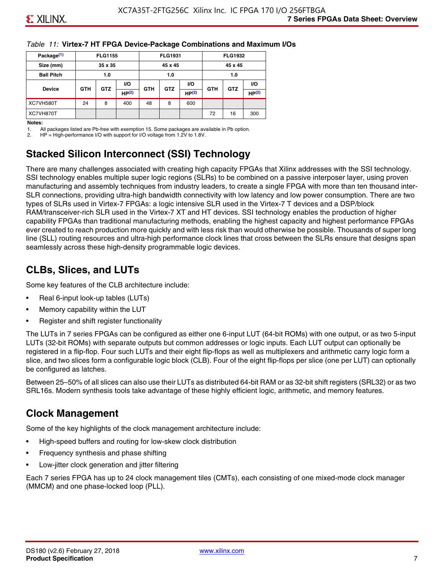#### *Table 11:* **Virtex-7 HT FPGA Device-Package Combinations and Maximum I/Os**

| Package <sup>(1)</sup> |            | <b>FLG1155</b> |       |            | <b>FLG1931</b> |                   |            | <b>FLG1932</b> |                   |
|------------------------|------------|----------------|-------|------------|----------------|-------------------|------------|----------------|-------------------|
| Size (mm)              |            | 35 x 35        |       |            | 45 x 45        |                   |            | 45 x 45        |                   |
| <b>Ball Pitch</b>      |            | 1.0            |       |            | 1.0            |                   |            | 1.0            |                   |
|                        |            |                | VO.   |            |                | <b>VO</b>         |            |                | VO.               |
| <b>Device</b>          | <b>GTH</b> | <b>GTZ</b>     | HP(2) | <b>GTH</b> | <b>GTZ</b>     | HP <sup>(2)</sup> | <b>GTH</b> | <b>GTZ</b>     | HP <sup>(2)</sup> |
| XC7VH580T              | 24         | 8              | 400   | 48         | 8              | 600               |            |                |                   |
| XC7VH870T              |            |                |       |            |                |                   | 72         | 16             | 300               |

#### **Notes:**

1. All packages listed are Pb-free with exemption 15. Some packages are available in Pb option.

2. HP = High-performance I/O with support for I/O voltage from 1.2V to 1.8V.

### **Stacked Silicon Interconnect (SSI) Technology**

There are many challenges associated with creating high capacity FPGAs that Xilinx addresses with the SSI technology. SSI technology enables multiple super logic regions (SLRs) to be combined on a passive interposer layer, using proven manufacturing and assembly techniques from industry leaders, to create a single FPGA with more than ten thousand inter-SLR connections, providing ultra-high bandwidth connectivity with low latency and low power consumption. There are two types of SLRs used in Virtex-7 FPGAs: a logic intensive SLR used in the Virtex-7 T devices and a DSP/block RAM/transceiver-rich SLR used in the Virtex-7 XT and HT devices. SSI technology enables the production of higher capability FPGAs than traditional manufacturing methods, enabling the highest capacity and highest performance FPGAs ever created to reach production more quickly and with less risk than would otherwise be possible. Thousands of super long line (SLL) routing resources and ultra-high performance clock lines that cross between the SLRs ensure that designs span seamlessly across these high-density programmable logic devices.

### **CLBs, Slices, and LUTs**

Some key features of the CLB architecture include:

- Real 6-input look-up tables (LUTs)
- Memory capability within the LUT
- Register and shift register functionality

The LUTs in 7 series FPGAs can be configured as either one 6-input LUT (64-bit ROMs) with one output, or as two 5-input LUTs (32-bit ROMs) with separate outputs but common addresses or logic inputs. Each LUT output can optionally be registered in a flip-flop. Four such LUTs and their eight flip-flops as well as multiplexers and arithmetic carry logic form a slice, and two slices form a configurable logic block (CLB). Four of the eight flip-flops per slice (one per LUT) can optionally be configured as latches.

Between 25–50% of all slices can also use their LUTs as distributed 64-bit RAM or as 32-bit shift registers (SRL32) or as two SRL16s. Modern synthesis tools take advantage of these highly efficient logic, arithmetic, and memory features.

### **Clock Management**

Some of the key highlights of the clock management architecture include:

- High-speed buffers and routing for low-skew clock distribution
- Frequency synthesis and phase shifting
- Low-jitter clock generation and jitter filtering

Each 7 series FPGA has up to 24 clock management tiles (CMTs), each consisting of one mixed-mode clock manager (MMCM) and one phase-locked loop (PLL).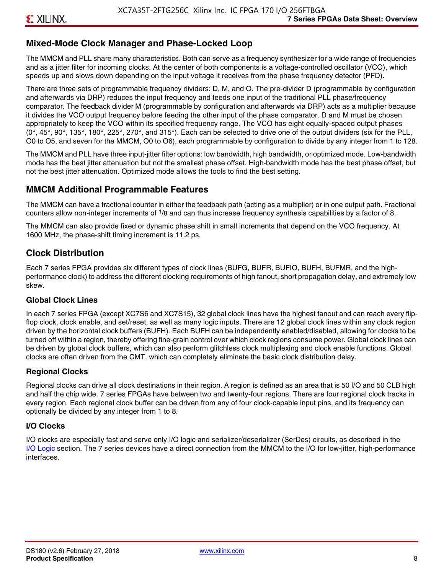### **Mixed-Mode Clock Manager and Phase-Locked Loop**

The MMCM and PLL share many characteristics. Both can serve as a frequency synthesizer for a wide range of frequencies and as a jitter filter for incoming clocks. At the center of both components is a voltage-controlled oscillator (VCO), which speeds up and slows down depending on the input voltage it receives from the phase frequency detector (PFD).

There are three sets of programmable frequency dividers: D, M, and O. The pre-divider D (programmable by configuration and afterwards via DRP) reduces the input frequency and feeds one input of the traditional PLL phase/frequency comparator. The feedback divider M (programmable by configuration and afterwards via DRP) acts as a multiplier because it divides the VCO output frequency before feeding the other input of the phase comparator. D and M must be chosen appropriately to keep the VCO within its specified frequency range. The VCO has eight equally-spaced output phases  $(0^\circ, 45^\circ, 90^\circ, 135^\circ, 180^\circ, 225^\circ, 270^\circ,$  and  $315^\circ$ ). Each can be selected to drive one of the output dividers (six for the PLL, O0 to O5, and seven for the MMCM, O0 to O6), each programmable by configuration to divide by any integer from 1 to 128.

The MMCM and PLL have three input-jitter filter options: low bandwidth, high bandwidth, or optimized mode. Low-bandwidth mode has the best jitter attenuation but not the smallest phase offset. High-bandwidth mode has the best phase offset, but not the best jitter attenuation. Optimized mode allows the tools to find the best setting.

### **MMCM Additional Programmable Features**

The MMCM can have a fractional counter in either the feedback path (acting as a multiplier) or in one output path. Fractional counters allow non-integer increments of  $1/8$  and can thus increase frequency synthesis capabilities by a factor of 8.

The MMCM can also provide fixed or dynamic phase shift in small increments that depend on the VCO frequency. At 1600 MHz, the phase-shift timing increment is 11.2 ps.

### **Clock Distribution**

Each 7 series FPGA provides six different types of clock lines (BUFG, BUFR, BUFIO, BUFH, BUFMR, and the highperformance clock) to address the different clocking requirements of high fanout, short propagation delay, and extremely low skew.

#### **Global Clock Lines**

In each 7 series FPGA (except XC7S6 and XC7S15), 32 global clock lines have the highest fanout and can reach every flipflop clock, clock enable, and set/reset, as well as many logic inputs. There are 12 global clock lines within any clock region driven by the horizontal clock buffers (BUFH). Each BUFH can be independently enabled/disabled, allowing for clocks to be turned off within a region, thereby offering fine-grain control over which clock regions consume power. Global clock lines can be driven by global clock buffers, which can also perform glitchless clock multiplexing and clock enable functions. Global clocks are often driven from the CMT, which can completely eliminate the basic clock distribution delay.

#### **Regional Clocks**

Regional clocks can drive all clock destinations in their region. A region is defined as an area that is 50 I/O and 50 CLB high and half the chip wide. 7 series FPGAs have between two and twenty-four regions. There are four regional clock tracks in every region. Each regional clock buffer can be driven from any of four clock-capable input pins, and its frequency can optionally be divided by any integer from 1 to 8.

#### **I/O Clocks**

I/O clocks are especially fast and serve only I/O logic and serializer/deserializer (SerDes) circuits, as described in the I/O Logic section. The 7 series devices have a direct connection from the MMCM to the I/O for low-jitter, high-performance interfaces.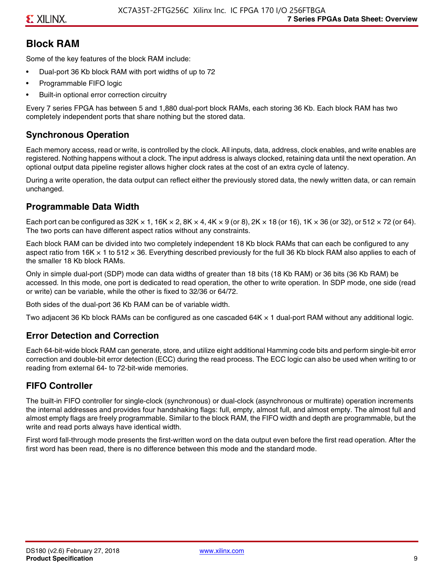### **Block RAM**

Some of the key features of the block RAM include:

- Dual-port 36 Kb block RAM with port widths of up to 72
- Programmable FIFO logic
- Built-in optional error correction circuitry

Every 7 series FPGA has between 5 and 1,880 dual-port block RAMs, each storing 36 Kb. Each block RAM has two completely independent ports that share nothing but the stored data.

### **Synchronous Operation**

Each memory access, read or write, is controlled by the clock. All inputs, data, address, clock enables, and write enables are registered. Nothing happens without a clock. The input address is always clocked, retaining data until the next operation. An optional output data pipeline register allows higher clock rates at the cost of an extra cycle of latency.

During a write operation, the data output can reflect either the previously stored data, the newly written data, or can remain unchanged.

### **Programmable Data Width**

Each port can be configured as 32K  $\times$  1, 16K  $\times$  2, 8K  $\times$  4, 4K  $\times$  9 (or 8), 2K  $\times$  18 (or 16), 1K  $\times$  36 (or 32), or 512  $\times$  72 (or 64). The two ports can have different aspect ratios without any constraints.

Each block RAM can be divided into two completely independent 18 Kb block RAMs that can each be configured to any aspect ratio from 16K  $\times$  1 to 512  $\times$  36. Everything described previously for the full 36 Kb block RAM also applies to each of the smaller 18 Kb block RAMs.

Only in simple dual-port (SDP) mode can data widths of greater than 18 bits (18 Kb RAM) or 36 bits (36 Kb RAM) be accessed. In this mode, one port is dedicated to read operation, the other to write operation. In SDP mode, one side (read or write) can be variable, while the other is fixed to 32/36 or 64/72.

Both sides of the dual-port 36 Kb RAM can be of variable width.

Two adjacent 36 Kb block RAMs can be configured as one cascaded 64K × 1 dual-port RAM without any additional logic.

### **Error Detection and Correction**

Each 64-bit-wide block RAM can generate, store, and utilize eight additional Hamming code bits and perform single-bit error correction and double-bit error detection (ECC) during the read process. The ECC logic can also be used when writing to or reading from external 64- to 72-bit-wide memories.

### **FIFO Controller**

The built-in FIFO controller for single-clock (synchronous) or dual-clock (asynchronous or multirate) operation increments the internal addresses and provides four handshaking flags: full, empty, almost full, and almost empty. The almost full and almost empty flags are freely programmable. Similar to the block RAM, the FIFO width and depth are programmable, but the write and read ports always have identical width.

First word fall-through mode presents the first-written word on the data output even before the first read operation. After the first word has been read, there is no difference between this mode and the standard mode.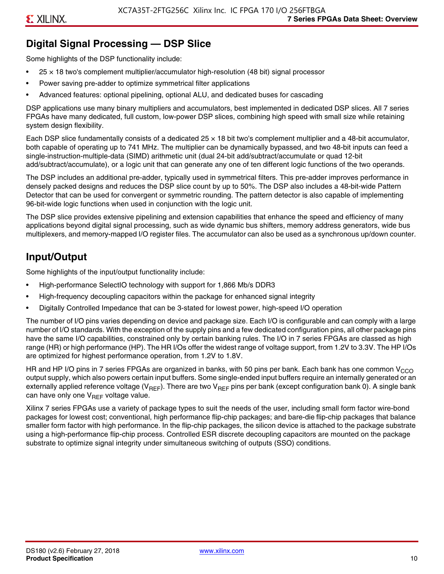### **Digital Signal Processing — DSP Slice**

Some highlights of the DSP functionality include:

- $25 \times 18$  two's complement multiplier/accumulator high-resolution (48 bit) signal processor
- Power saving pre-adder to optimize symmetrical filter applications
- Advanced features: optional pipelining, optional ALU, and dedicated buses for cascading

DSP applications use many binary multipliers and accumulators, best implemented in dedicated DSP slices. All 7 series FPGAs have many dedicated, full custom, low-power DSP slices, combining high speed with small size while retaining system design flexibility.

Each DSP slice fundamentally consists of a dedicated 25 × 18 bit two's complement multiplier and a 48-bit accumulator, both capable of operating up to 741 MHz. The multiplier can be dynamically bypassed, and two 48-bit inputs can feed a single-instruction-multiple-data (SIMD) arithmetic unit (dual 24-bit add/subtract/accumulate or quad 12-bit add/subtract/accumulate), or a logic unit that can generate any one of ten different logic functions of the two operands.

The DSP includes an additional pre-adder, typically used in symmetrical filters. This pre-adder improves performance in densely packed designs and reduces the DSP slice count by up to 50%. The DSP also includes a 48-bit-wide Pattern Detector that can be used for convergent or symmetric rounding. The pattern detector is also capable of implementing 96-bit-wide logic functions when used in conjunction with the logic unit.

The DSP slice provides extensive pipelining and extension capabilities that enhance the speed and efficiency of many applications beyond digital signal processing, such as wide dynamic bus shifters, memory address generators, wide bus multiplexers, and memory-mapped I/O register files. The accumulator can also be used as a synchronous up/down counter.

### **Input/Output**

Some highlights of the input/output functionality include:

- High-performance SelectIO technology with support for 1,866 Mb/s DDR3
- High-frequency decoupling capacitors within the package for enhanced signal integrity
- Digitally Controlled Impedance that can be 3-stated for lowest power, high-speed I/O operation

The number of I/O pins varies depending on device and package size. Each I/O is configurable and can comply with a large number of I/O standards. With the exception of the supply pins and a few dedicated configuration pins, all other package pins have the same I/O capabilities, constrained only by certain banking rules. The I/O in 7 series FPGAs are classed as high range (HR) or high performance (HP). The HR I/Os offer the widest range of voltage support, from 1.2V to 3.3V. The HP I/Os are optimized for highest performance operation, from 1.2V to 1.8V.

HR and HP I/O pins in 7 series FPGAs are organized in banks, with 50 pins per bank. Each bank has one common V<sub>CCO</sub> output supply, which also powers certain input buffers. Some single-ended input buffers require an internally generated or an externally applied reference voltage ( $V_{RFF}$ ). There are two  $V_{RFF}$  pins per bank (except configuration bank 0). A single bank can have only one  $V_{\text{RFF}}$  voltage value.

Xilinx 7 series FPGAs use a variety of package types to suit the needs of the user, including small form factor wire-bond packages for lowest cost; conventional, high performance flip-chip packages; and bare-die flip-chip packages that balance smaller form factor with high performance. In the flip-chip packages, the silicon device is attached to the package substrate using a high-performance flip-chip process. Controlled ESR discrete decoupling capacitors are mounted on the package substrate to optimize signal integrity under simultaneous switching of outputs (SSO) conditions.

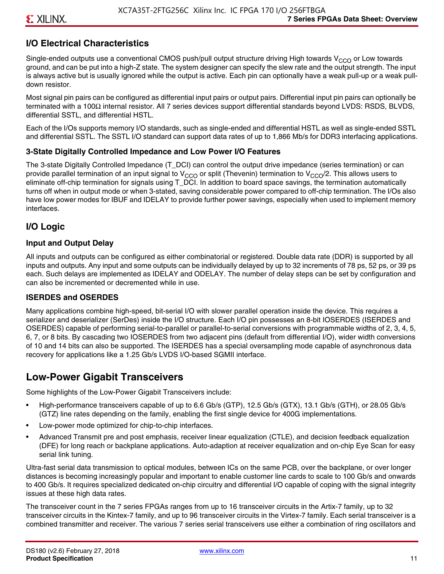### **I/O Electrical Characteristics**

Single-ended outputs use a conventional CMOS push/pull output structure driving High towards  $V_{CCO}$  or Low towards ground, and can be put into a high-Z state. The system designer can specify the slew rate and the output strength. The input is always active but is usually ignored while the output is active. Each pin can optionally have a weak pull-up or a weak pulldown resistor.

Most signal pin pairs can be configured as differential input pairs or output pairs. Differential input pin pairs can optionally be terminated with a 100Ω internal resistor. All 7 series devices support differential standards beyond LVDS: RSDS, BLVDS, differential SSTL, and differential HSTL.

Each of the I/Os supports memory I/O standards, such as single-ended and differential HSTL as well as single-ended SSTL and differential SSTL. The SSTL I/O standard can support data rates of up to 1,866 Mb/s for DDR3 interfacing applications.

#### **3-State Digitally Controlled Impedance and Low Power I/O Features**

The 3-state Digitally Controlled Impedance (T\_DCI) can control the output drive impedance (series termination) or can provide parallel termination of an input signal to V<sub>CCO</sub> or split (Thevenin) termination to V<sub>CCO</sub>/2. This allows users to eliminate off-chip termination for signals using T\_DCI. In addition to board space savings, the termination automatically turns off when in output mode or when 3-stated, saving considerable power compared to off-chip termination. The I/Os also have low power modes for IBUF and IDELAY to provide further power savings, especially when used to implement memory interfaces.

### **I/O Logic**

#### **Input and Output Delay**

All inputs and outputs can be configured as either combinatorial or registered. Double data rate (DDR) is supported by all inputs and outputs. Any input and some outputs can be individually delayed by up to 32 increments of 78 ps, 52 ps, or 39 ps each. Such delays are implemented as IDELAY and ODELAY. The number of delay steps can be set by configuration and can also be incremented or decremented while in use.

#### **ISERDES and OSERDES**

Many applications combine high-speed, bit-serial I/O with slower parallel operation inside the device. This requires a serializer and deserializer (SerDes) inside the I/O structure. Each I/O pin possesses an 8-bit IOSERDES (ISERDES and OSERDES) capable of performing serial-to-parallel or parallel-to-serial conversions with programmable widths of 2, 3, 4, 5, 6, 7, or 8 bits. By cascading two IOSERDES from two adjacent pins (default from differential I/O), wider width conversions of 10 and 14 bits can also be supported. The ISERDES has a special oversampling mode capable of asynchronous data recovery for applications like a 1.25 Gb/s LVDS I/O-based SGMII interface.

### **Low-Power Gigabit Transceivers**

Some highlights of the Low-Power Gigabit Transceivers include:

- High-performance transceivers capable of up to 6.6 Gb/s (GTP), 12.5 Gb/s (GTX), 13.1 Gb/s (GTH), or 28.05 Gb/s (GTZ) line rates depending on the family, enabling the first single device for 400G implementations.
- Low-power mode optimized for chip-to-chip interfaces.
- Advanced Transmit pre and post emphasis, receiver linear equalization (CTLE), and decision feedback equalization (DFE) for long reach or backplane applications. Auto-adaption at receiver equalization and on-chip Eye Scan for easy serial link tuning.

Ultra-fast serial data transmission to optical modules, between ICs on the same PCB, over the backplane, or over longer distances is becoming increasingly popular and important to enable customer line cards to scale to 100 Gb/s and onwards to 400 Gb/s. It requires specialized dedicated on-chip circuitry and differential I/O capable of coping with the signal integrity issues at these high data rates.

The transceiver count in the 7 series FPGAs ranges from up to 16 transceiver circuits in the Artix-7 family, up to 32 transceiver circuits in the Kintex-7 family, and up to 96 transceiver circuits in the Virtex-7 family. Each serial transceiver is a combined transmitter and receiver. The various 7 series serial transceivers use either a combination of ring oscillators and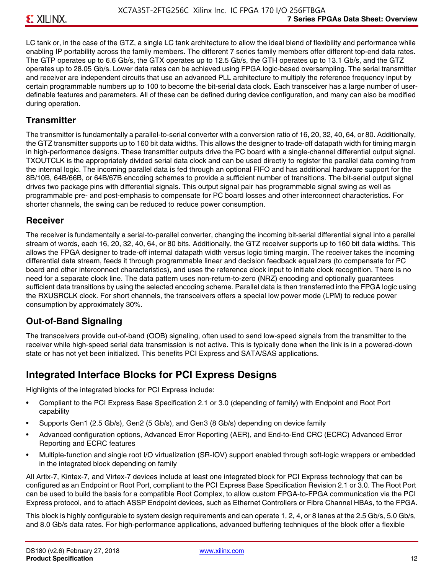LC tank or, in the case of the GTZ, a single LC tank architecture to allow the ideal blend of flexibility and performance while enabling IP portability across the family members. The different 7 series family members offer different top-end data rates. The GTP operates up to 6.6 Gb/s, the GTX operates up to 12.5 Gb/s, the GTH operates up to 13.1 Gb/s, and the GTZ operates up to 28.05 Gb/s. Lower data rates can be achieved using FPGA logic-based oversampling. The serial transmitter and receiver are independent circuits that use an advanced PLL architecture to multiply the reference frequency input by certain programmable numbers up to 100 to become the bit-serial data clock. Each transceiver has a large number of userdefinable features and parameters. All of these can be defined during device configuration, and many can also be modified during operation.

### **Transmitter**

The transmitter is fundamentally a parallel-to-serial converter with a conversion ratio of 16, 20, 32, 40, 64, or 80. Additionally, the GTZ transmitter supports up to 160 bit data widths. This allows the designer to trade-off datapath width for timing margin in high-performance designs. These transmitter outputs drive the PC board with a single-channel differential output signal. TXOUTCLK is the appropriately divided serial data clock and can be used directly to register the parallel data coming from the internal logic. The incoming parallel data is fed through an optional FIFO and has additional hardware support for the 8B/10B, 64B/66B, or 64B/67B encoding schemes to provide a sufficient number of transitions. The bit-serial output signal drives two package pins with differential signals. This output signal pair has programmable signal swing as well as programmable pre- and post-emphasis to compensate for PC board losses and other interconnect characteristics. For shorter channels, the swing can be reduced to reduce power consumption.

### **Receiver**

The receiver is fundamentally a serial-to-parallel converter, changing the incoming bit-serial differential signal into a parallel stream of words, each 16, 20, 32, 40, 64, or 80 bits. Additionally, the GTZ receiver supports up to 160 bit data widths. This allows the FPGA designer to trade-off internal datapath width versus logic timing margin. The receiver takes the incoming differential data stream, feeds it through programmable linear and decision feedback equalizers (to compensate for PC board and other interconnect characteristics), and uses the reference clock input to initiate clock recognition. There is no need for a separate clock line. The data pattern uses non-return-to-zero (NRZ) encoding and optionally guarantees sufficient data transitions by using the selected encoding scheme. Parallel data is then transferred into the FPGA logic using the RXUSRCLK clock. For short channels, the transceivers offers a special low power mode (LPM) to reduce power consumption by approximately 30%.

### **Out-of-Band Signaling**

The transceivers provide out-of-band (OOB) signaling, often used to send low-speed signals from the transmitter to the receiver while high-speed serial data transmission is not active. This is typically done when the link is in a powered-down state or has not yet been initialized. This benefits PCI Express and SATA/SAS applications.

### **Integrated Interface Blocks for PCI Express Designs**

Highlights of the integrated blocks for PCI Express include:

- Compliant to the PCI Express Base Specification 2.1 or 3.0 (depending of family) with Endpoint and Root Port capability
- Supports Gen1 (2.5 Gb/s), Gen2 (5 Gb/s), and Gen3 (8 Gb/s) depending on device family
- Advanced configuration options, Advanced Error Reporting (AER), and End-to-End CRC (ECRC) Advanced Error Reporting and ECRC features
- Multiple-function and single root I/O virtualization (SR-IOV) support enabled through soft-logic wrappers or embedded in the integrated block depending on family

All Artix-7, Kintex-7, and Virtex-7 devices include at least one integrated block for PCI Express technology that can be configured as an Endpoint or Root Port, compliant to the PCI Express Base Specification Revision 2.1 or 3.0. The Root Port can be used to build the basis for a compatible Root Complex, to allow custom FPGA-to-FPGA communication via the PCI Express protocol, and to attach ASSP Endpoint devices, such as Ethernet Controllers or Fibre Channel HBAs, to the FPGA.

This block is highly configurable to system design requirements and can operate 1, 2, 4, or 8 lanes at the 2.5 Gb/s, 5.0 Gb/s, and 8.0 Gb/s data rates. For high-performance applications, advanced buffering techniques of the block offer a flexible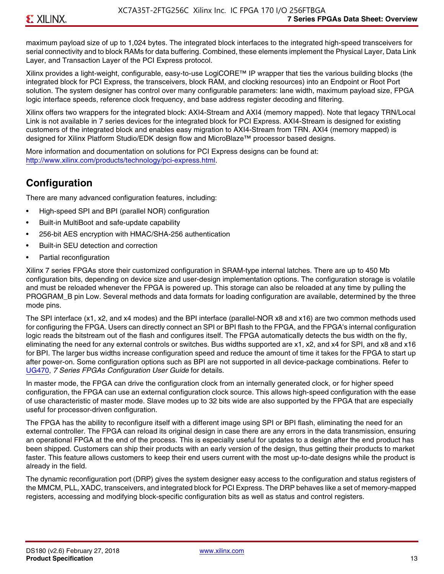maximum payload size of up to 1,024 bytes. The integrated block interfaces to the integrated high-speed transceivers for serial connectivity and to block RAMs for data buffering. Combined, these elements implement the Physical Layer, Data Link Layer, and Transaction Layer of the PCI Express protocol.

Xilinx provides a light-weight, configurable, easy-to-use LogiCORE™ IP wrapper that ties the various building blocks (the integrated block for PCI Express, the transceivers, block RAM, and clocking resources) into an Endpoint or Root Port solution. The system designer has control over many configurable parameters: lane width, maximum payload size, FPGA logic interface speeds, reference clock frequency, and base address register decoding and filtering.

Xilinx offers two wrappers for the integrated block: AXI4-Stream and AXI4 (memory mapped). Note that legacy TRN/Local Link is not available in 7 series devices for the integrated block for PCI Express. AXI4-Stream is designed for existing customers of the integrated block and enables easy migration to AXI4-Stream from TRN. AXI4 (memory mapped) is designed for Xilinx Platform Studio/EDK design flow and MicroBlaze™ processor based designs.

More information and documentation on solutions for PCI Express designs can be found at: <http://www.xilinx.com/products/technology/pci-express.html>.

### **Configuration**

There are many advanced configuration features, including:

- High-speed SPI and BPI (parallel NOR) configuration
- Built-in MultiBoot and safe-update capability
- 256-bit AES encryption with HMAC/SHA-256 authentication
- Built-in SEU detection and correction
- Partial reconfiguration

Xilinx 7 series FPGAs store their customized configuration in SRAM-type internal latches. There are up to 450 Mb configuration bits, depending on device size and user-design implementation options. The configuration storage is volatile and must be reloaded whenever the FPGA is powered up. This storage can also be reloaded at any time by pulling the PROGRAM B pin Low. Several methods and data formats for loading configuration are available, determined by the three mode pins.

The SPI interface (x1, x2, and x4 modes) and the BPI interface (parallel-NOR x8 and x16) are two common methods used for configuring the FPGA. Users can directly connect an SPI or BPI flash to the FPGA, and the FPGA's internal configuration logic reads the bitstream out of the flash and configures itself. The FPGA automatically detects the bus width on the fly, eliminating the need for any external controls or switches. Bus widths supported are x1, x2, and x4 for SPI, and x8 and x16 for BPI. The larger bus widths increase configuration speed and reduce the amount of time it takes for the FPGA to start up after power-on. Some configuration options such as BPI are not supported in all device-package combinations. Refer to [UG470,](http://www.xilinx.com/support/documentation/user_guides/ug470_7Series_Config.pdf) *7 Series FPGAs Configuration User Guide* for details.

In master mode, the FPGA can drive the configuration clock from an internally generated clock, or for higher speed configuration, the FPGA can use an external configuration clock source. This allows high-speed configuration with the ease of use characteristic of master mode. Slave modes up to 32 bits wide are also supported by the FPGA that are especially useful for processor-driven configuration.

The FPGA has the ability to reconfigure itself with a different image using SPI or BPI flash, eliminating the need for an external controller. The FPGA can reload its original design in case there are any errors in the data transmission, ensuring an operational FPGA at the end of the process. This is especially useful for updates to a design after the end product has been shipped. Customers can ship their products with an early version of the design, thus getting their products to market faster. This feature allows customers to keep their end users current with the most up-to-date designs while the product is already in the field.

The dynamic reconfiguration port (DRP) gives the system designer easy access to the configuration and status registers of the MMCM, PLL, XADC, transceivers, and integrated block for PCI Express. The DRP behaves like a set of memory-mapped registers, accessing and modifying block-specific configuration bits as well as status and control registers.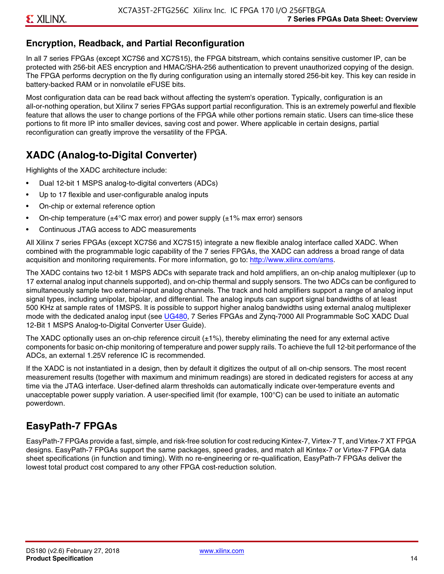### **Encryption, Readback, and Partial Reconfiguration**

In all 7 series FPGAs (except XC7S6 and XC7S15), the FPGA bitstream, which contains sensitive customer IP, can be protected with 256-bit AES encryption and HMAC/SHA-256 authentication to prevent unauthorized copying of the design. The FPGA performs decryption on the fly during configuration using an internally stored 256-bit key. This key can reside in battery-backed RAM or in nonvolatile eFUSE bits.

Most configuration data can be read back without affecting the system's operation. Typically, configuration is an all-or-nothing operation, but Xilinx 7 series FPGAs support partial reconfiguration. This is an extremely powerful and flexible feature that allows the user to change portions of the FPGA while other portions remain static. Users can time-slice these portions to fit more IP into smaller devices, saving cost and power. Where applicable in certain designs, partial reconfiguration can greatly improve the versatility of the FPGA.

### **XADC (Analog-to-Digital Converter)**

Highlights of the XADC architecture include:

- Dual 12-bit 1 MSPS analog-to-digital converters (ADCs)
- Up to 17 flexible and user-configurable analog inputs
- On-chip or external reference option
- On-chip temperature ( $\pm 4^{\circ}$ C max error) and power supply ( $\pm 1\%$  max error) sensors
- Continuous JTAG access to ADC measurements

All Xilinx 7 series FPGAs (except XC7S6 and XC7S15) integrate a new flexible analog interface called XADC. When combined with the programmable logic capability of the 7 series FPGAs, the XADC can address a broad range of data acquisition and monitoring requirements. For more information, go to: [http://www.xilinx.com/ams.](http://www.xilinx.com/ams)

The XADC contains two 12-bit 1 MSPS ADCs with separate track and hold amplifiers, an on-chip analog multiplexer (up to 17 external analog input channels supported), and on-chip thermal and supply sensors. The two ADCs can be configured to simultaneously sample two external-input analog channels. The track and hold amplifiers support a range of analog input signal types, including unipolar, bipolar, and differential. The analog inputs can support signal bandwidths of at least 500 KHz at sample rates of 1MSPS. It is possible to support higher analog bandwidths using external analog multiplexer mode with the dedicated analog input (see [UG480](http://www.xilinx.com/support/documentation/user_guides/ug480_7Series_XADC.pdf), 7 Series FPGAs and Zynq-7000 All Programmable SoC XADC Dual 12-Bit 1 MSPS Analog-to-Digital Converter User Guide)*.*

The XADC optionally uses an on-chip reference circuit  $(\pm 1\%)$ , thereby eliminating the need for any external active components for basic on-chip monitoring of temperature and power supply rails. To achieve the full 12-bit performance of the ADCs, an external 1.25V reference IC is recommended.

If the XADC is not instantiated in a design, then by default it digitizes the output of all on-chip sensors. The most recent measurement results (together with maximum and minimum readings) are stored in dedicated registers for access at any time via the JTAG interface. User-defined alarm thresholds can automatically indicate over-temperature events and unacceptable power supply variation. A user-specified limit (for example, 100°C) can be used to initiate an automatic powerdown.

### **EasyPath-7 FPGAs**

EasyPath-7 FPGAs provide a fast, simple, and risk-free solution for cost reducing Kintex-7, Virtex-7 T, and Virtex-7 XT FPGA designs. EasyPath-7 FPGAs support the same packages, speed grades, and match all Kintex-7 or Virtex-7 FPGA data sheet specifications (in function and timing). With no re-engineering or re-qualification, EasyPath-7 FPGAs deliver the lowest total product cost compared to any other FPGA cost-reduction solution.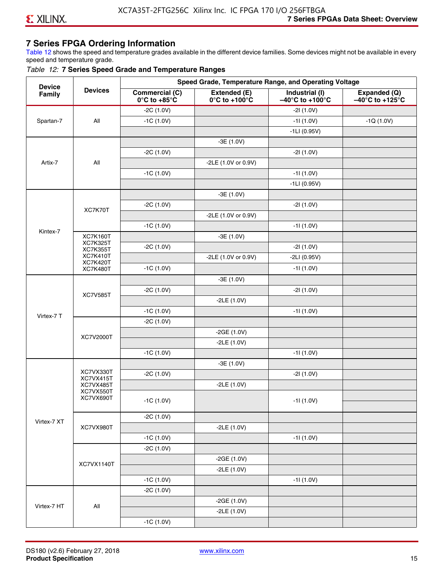### **7 Series FPGA Ordering Information**

Table 12 shows the speed and temperature grades available in the different device families. Some devices might not be available in every speed and temperature grade.

#### *Table 12:* **7 Series Speed Grade and Temperature Ranges**

| <b>Device</b> |                                    |                                                        |                                                    | Speed Grade, Temperature Range, and Operating Voltage  |                                                      |
|---------------|------------------------------------|--------------------------------------------------------|----------------------------------------------------|--------------------------------------------------------|------------------------------------------------------|
| Family        | <b>Devices</b>                     | <b>Commercial (C)</b><br>$0^\circ$ C to +85 $^\circ$ C | Extended (E)<br>$0^{\circ}$ C to +100 $^{\circ}$ C | Industrial (I)<br>$-40^{\circ}$ C to +100 $^{\circ}$ C | Expanded (Q)<br>$-40^{\circ}$ C to +125 $^{\circ}$ C |
|               |                                    | $-2C(1.0V)$                                            |                                                    | $-21(1.0V)$                                            |                                                      |
| Spartan-7     | All                                | $-1C(1.0V)$                                            |                                                    | $-11(1.0V)$                                            | $-1Q(1.0V)$                                          |
|               |                                    |                                                        |                                                    | $-1LI(0.95V)$                                          |                                                      |
|               |                                    |                                                        | $-3E(1.0V)$                                        |                                                        |                                                      |
|               |                                    | $-2C(1.0V)$                                            |                                                    | $-21(1.0V)$                                            |                                                      |
| Artix-7       | All                                |                                                        | -2LE (1.0V or 0.9V)                                |                                                        |                                                      |
|               |                                    | $-1C(1.0V)$                                            |                                                    | $-11(1.0V)$                                            |                                                      |
|               |                                    |                                                        |                                                    | $-1LI(0.95V)$                                          |                                                      |
|               |                                    |                                                        | $-3E(1.0V)$                                        |                                                        |                                                      |
|               |                                    | $-2C(1.0V)$                                            |                                                    | $-21(1.0V)$                                            |                                                      |
|               | XC7K70T                            |                                                        | -2LE (1.0V or 0.9V)                                |                                                        |                                                      |
|               |                                    | $-1C(1.0V)$                                            |                                                    | $-11(1.0V)$                                            |                                                      |
| Kintex-7      | <b>XC7K160T</b>                    |                                                        | $-3E(1.0V)$                                        |                                                        |                                                      |
|               | <b>XC7K325T</b><br><b>XC7K355T</b> | $-2C(1.0V)$                                            |                                                    | $-21(1.0V)$                                            |                                                      |
|               | <b>XC7K410T</b>                    |                                                        | -2LE (1.0V or 0.9V)                                | $-2LI(0.95V)$                                          |                                                      |
|               | <b>XC7K420T</b><br><b>XC7K480T</b> | $-1C(1.0V)$                                            |                                                    | $-11(1.0V)$                                            |                                                      |
|               |                                    |                                                        | $-3E(1.0V)$                                        |                                                        |                                                      |
|               |                                    | $-2C(1.0V)$                                            |                                                    | $-21(1.0V)$                                            |                                                      |
|               | <b>XC7V585T</b>                    |                                                        | $-2LE(1.0V)$                                       |                                                        |                                                      |
|               |                                    | $-1C(1.0V)$                                            |                                                    | $-11(1.0V)$                                            |                                                      |
| Virtex-7 T    |                                    | $-2C(1.0V)$                                            |                                                    |                                                        |                                                      |
|               |                                    |                                                        | $-2GE(1.0V)$                                       |                                                        |                                                      |
|               | XC7V2000T                          |                                                        | $-2LE(1.0V)$                                       |                                                        |                                                      |
|               |                                    | $-1C(1.0V)$                                            |                                                    | $-11(1.0V)$                                            |                                                      |
|               |                                    |                                                        | $-3E(1.0V)$                                        |                                                        |                                                      |
|               | XC7VX330T                          | $-2C(1.0V)$                                            |                                                    | $-21(1.0V)$                                            |                                                      |
|               | XC7VX415T<br>XC7VX485T             |                                                        | $-2LE(1.0V)$                                       |                                                        |                                                      |
|               | XC7VX550T<br>XC7VX690T             |                                                        |                                                    |                                                        |                                                      |
|               |                                    | $-1C(1.0V)$                                            |                                                    | -11 (1.0V)                                             |                                                      |
|               |                                    | $-2C(1.0V)$                                            |                                                    |                                                        |                                                      |
| Virtex-7 XT   | XC7VX980T                          |                                                        | $-2LE(1.0V)$                                       |                                                        |                                                      |
|               |                                    | $-1C(1.0V)$                                            |                                                    | $-11(1.0V)$                                            |                                                      |
|               |                                    | $-2C(1.0V)$                                            |                                                    |                                                        |                                                      |
|               |                                    |                                                        | $-2GE(1.0V)$                                       |                                                        |                                                      |
|               | XC7VX1140T                         |                                                        | $-2LE(1.0V)$                                       |                                                        |                                                      |
|               |                                    | $-1C(1.0V)$                                            |                                                    | $-11(1.0V)$                                            |                                                      |
|               |                                    | $-2C(1.0V)$                                            |                                                    |                                                        |                                                      |
|               |                                    |                                                        | $-2GE(1.0V)$                                       |                                                        |                                                      |
| Virtex-7 HT   | All                                |                                                        | $-2LE(1.0V)$                                       |                                                        |                                                      |
|               |                                    | $-1C(1.0V)$                                            |                                                    |                                                        |                                                      |
|               |                                    |                                                        |                                                    |                                                        |                                                      |

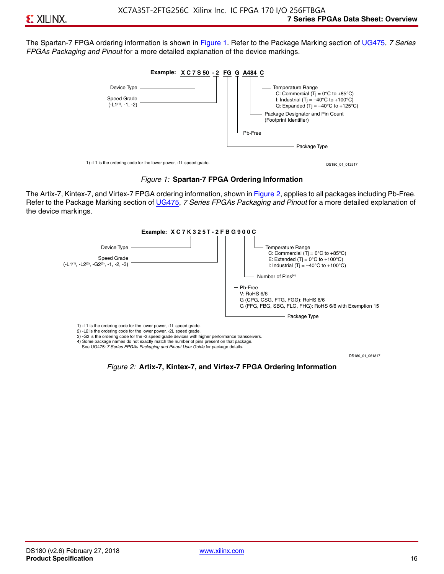The Spartan-7 FPGA ordering information is shown in Figure 1. Refer to the Package Marking section of [UG475,](http://www.xilinx.com/support/documentation/user_guides/ug475_7Series_Pkg_Pinout.pdf) *7 Series FPGAs Packaging and Pinout* for a more detailed explanation of the device markings.





The Artix-7, Kintex-7, and Virtex-7 FPGA ordering information, shown in Figure 2, applies to all packages including Pb-Free. Refer to the Package Marking section of [UG475](http://www.xilinx.com/support/documentation/user_guides/ug475_7Series_Pkg_Pinout.pdf), *7 Series FPGAs Packaging and Pinout* for a more detailed explanation of the device markings.



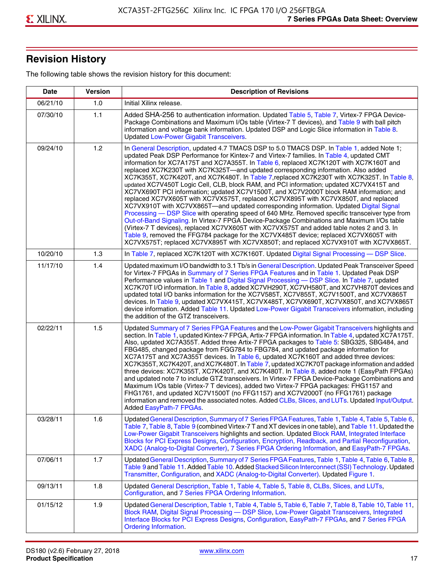## **Revision History**

The following table shows the revision history for this document:

| <b>Date</b> | <b>Version</b> | <b>Description of Revisions</b>                                                                                                                                                                                                                                                                                                                                                                                                                                                                                                                                                                                                                                                                                                                                                                                                                                                                                                                                                                                                                                                                                                                                                                                                                                                                                       |
|-------------|----------------|-----------------------------------------------------------------------------------------------------------------------------------------------------------------------------------------------------------------------------------------------------------------------------------------------------------------------------------------------------------------------------------------------------------------------------------------------------------------------------------------------------------------------------------------------------------------------------------------------------------------------------------------------------------------------------------------------------------------------------------------------------------------------------------------------------------------------------------------------------------------------------------------------------------------------------------------------------------------------------------------------------------------------------------------------------------------------------------------------------------------------------------------------------------------------------------------------------------------------------------------------------------------------------------------------------------------------|
| 06/21/10    | 1.0            | Initial Xilinx release.                                                                                                                                                                                                                                                                                                                                                                                                                                                                                                                                                                                                                                                                                                                                                                                                                                                                                                                                                                                                                                                                                                                                                                                                                                                                                               |
| 07/30/10    | 1.1            | Added SHA-256 to authentication information. Updated Table 5, Table 7, Virtex-7 FPGA Device-<br>Package Combinations and Maximum I/Os table (Virtex-7 T devices), and Table 9 with ball pitch<br>information and voltage bank information. Updated DSP and Logic Slice information in Table 8.<br><b>Updated Low-Power Gigabit Transceivers.</b>                                                                                                                                                                                                                                                                                                                                                                                                                                                                                                                                                                                                                                                                                                                                                                                                                                                                                                                                                                      |
| 09/24/10    | 1.2            | In General Description, updated 4.7 TMACS DSP to 5.0 TMACS DSP. In Table 1, added Note 1;<br>updated Peak DSP Performance for Kintex-7 and Virtex-7 families. In Table 4, updated CMT<br>information for XC7A175T and XC7A355T. In Table 6, replaced XC7K120T with XC7K160T and<br>replaced XC7K230T with XC7K325T-and updated corresponding information. Also added<br>XC7K355T, XC7K420T, and XC7K480T. In Table 7, replaced XC7K230T with XC7K325T. In Table 8,<br>updated XC7V450T Logic Cell, CLB, block RAM, and PCI information; updated XC7VX415T and<br>XC7VX690T PCI information; updated XC7V1500T, and XC7V2000T block RAM information; and<br>replaced XC7VX605T with XC7VX575T, replaced XC7VX895T with XC7VX850T, and replaced<br>XC7VX910T with XC7VX865T-and updated corresponding information. Updated Digital Signal<br>Processing - DSP Slice with operating speed of 640 MHz. Removed specific transceiver type from<br>Out-of-Band Signaling. In Virtex-7 FPGA Device-Package Combinations and Maximum I/Os table<br>(Virtex-7 T devices), replaced XC7VX605T with XC7VX575T and added table notes 2 and 3. In<br>Table 9, removed the FFG784 package for the XC7VX485T device; replaced XC7VX605T with<br>XC7VX575T; replaced XC7VX895T with XC7VX850T; and replaced XC7VX910T with XC7VX865T. |
| 10/20/10    | 1.3            | In Table 7, replaced XC7K120T with XC7K160T. Updated Digital Signal Processing - DSP Slice.                                                                                                                                                                                                                                                                                                                                                                                                                                                                                                                                                                                                                                                                                                                                                                                                                                                                                                                                                                                                                                                                                                                                                                                                                           |
| 11/17/10    | 1.4            | Updated maximum I/O bandwidth to 3.1 Tb/s in General Description. Updated Peak Transceiver Speed<br>for Virtex-7 FPGAs in Summary of 7 Series FPGA Features and in Table 1. Updated Peak DSP<br>Performance values in Table 1 and Digital Signal Processing - DSP Slice. In Table 7, updated<br>XC7K70T I/O information. In Table 8, added XC7VH290T, XC7VH580T, and XC7VH870T devices and<br>updated total I/O banks information for the XC7V585T, XC7V855T, XC7V1500T, and XC7VX865T<br>devices. In Table 9, updated XC7VX415T, XC7VX485T, XC7VX690T, XC7VX850T, and XC7VX865T<br>device information. Added Table 11. Updated Low-Power Gigabit Transceivers information, including<br>the addition of the GTZ transceivers.                                                                                                                                                                                                                                                                                                                                                                                                                                                                                                                                                                                        |
| 02/22/11    | 1.5            | Updated Summary of 7 Series FPGA Features and the Low-Power Gigabit Transceivers highlights and<br>section. In Table 1, updated Kintex-7 FPGA, Artix-7 FPGA information. In Table 4, updated XC7A175T.<br>Also, updated XC7A355T. Added three Artix-7 FPGA packages to Table 5: SBG325, SBG484, and<br>FBG485, changed package from FGG784 to FBG784, and updated package information for<br>XC7A175T and XC7A355T devices. In Table 6, updated XC7K160T and added three devices:<br>XC7K355T, XC7K420T, and XC7K480T. In Table 7, updated XC7K70T package information and added<br>three devices: XC7K355T, XC7K420T, and XC7K480T. In Table 8, added note 1 (EasyPath FPGAs)<br>and updated note 7 to include GTZ transceivers. In Virtex-7 FPGA Device-Package Combinations and<br>Maximum I/Os table (Virtex-7 T devices), added two Virtex-7 FPGA packages: FHG1157 and<br>FHG1761, and updated XC7V1500T (no FFG1157) and XC7V2000T (no FFG1761) package<br>information and removed the associated notes. Added CLBs, Slices, and LUTs. Updated Input/Output.<br>Added EasyPath-7 FPGAs.                                                                                                                                                                                                                        |
| 03/28/11    | 1.6            | Updated General Description, Summary of 7 Series FPGA Features, Table 1, Table 4, Table 5, Table 6,<br>Table 7, Table 8, Table 9 (combined Virtex-7 T and XT devices in one table), and Table 11. Updated the<br>Low-Power Gigabit Transceivers highlights and section. Updated Block RAM, Integrated Interface<br>Blocks for PCI Express Designs, Configuration, Encryption, Readback, and Partial Reconfiguration,<br>XADC (Analog-to-Digital Converter), 7 Series FPGA Ordering Information, and EasyPath-7 FPGAs.                                                                                                                                                                                                                                                                                                                                                                                                                                                                                                                                                                                                                                                                                                                                                                                                 |
| 07/06/11    | 1.7            | Updated General Description, Summary of 7 Series FPGA Features, Table 1, Table 4, Table 6, Table 8,<br>Table 9 and Table 11. Added Table 10. Added Stacked Silicon Interconnect (SSI) Technology. Updated<br>Transmitter, Configuration, and XADC (Analog-to-Digital Converter). Updated Figure 1.                                                                                                                                                                                                                                                                                                                                                                                                                                                                                                                                                                                                                                                                                                                                                                                                                                                                                                                                                                                                                    |
| 09/13/11    | 1.8            | Updated General Description, Table 1, Table 4, Table 5, Table 8, CLBs, Slices, and LUTs,<br>Configuration, and 7 Series FPGA Ordering Information.                                                                                                                                                                                                                                                                                                                                                                                                                                                                                                                                                                                                                                                                                                                                                                                                                                                                                                                                                                                                                                                                                                                                                                    |
| 01/15/12    | 1.9            | Updated General Description, Table 1, Table 4, Table 5, Table 6, Table 7, Table 8, Table 10, Table 11,<br>Block RAM, Digital Signal Processing - DSP Slice, Low-Power Gigabit Transceivers, Integrated<br>Interface Blocks for PCI Express Designs, Configuration, EasyPath-7 FPGAs, and 7 Series FPGA<br><b>Ordering Information.</b>                                                                                                                                                                                                                                                                                                                                                                                                                                                                                                                                                                                                                                                                                                                                                                                                                                                                                                                                                                                |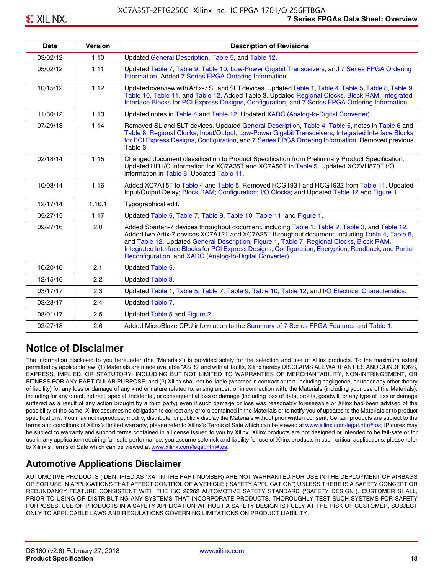| <b>Date</b> | <b>Version</b> | <b>Description of Revisions</b>                                                                                                                                                                                                                                                                                                                                                                                                                                     |
|-------------|----------------|---------------------------------------------------------------------------------------------------------------------------------------------------------------------------------------------------------------------------------------------------------------------------------------------------------------------------------------------------------------------------------------------------------------------------------------------------------------------|
| 03/02/12    | 1.10           | Updated General Description, Table 5, and Table 12.                                                                                                                                                                                                                                                                                                                                                                                                                 |
| 05/02/12    | 1.11           | Updated Table 7, Table 9, Table 10, Low-Power Gigabit Transceivers, and 7 Series FPGA Ordering<br>Information. Added 7 Series FPGA Ordering Information.                                                                                                                                                                                                                                                                                                            |
| 10/15/12    | 1.12           | Updated overview with Artix-7 SL and SLT devices. Updated Table 1, Table 4, Table 5, Table 8, Table 9,<br>Table 10, Table 11, and Table 12. Added Table 3. Updated Regional Clocks, Block RAM, Integrated<br>Interface Blocks for PCI Express Designs, Configuration, and 7 Series FPGA Ordering Information.                                                                                                                                                       |
| 11/30/12    | 1.13           | Updated notes in Table 4 and Table 12. Updated XADC (Analog-to-Digital Converter).                                                                                                                                                                                                                                                                                                                                                                                  |
| 07/29/13    | 1.14           | Removed SL and SLT devices. Updated General Description, Table 4, Table 5, notes in Table 6 and<br>Table 8, Regional Clocks, Input/Output, Low-Power Gigabit Transceivers, Integrated Interface Blocks<br>for PCI Express Designs, Configuration, and 7 Series FPGA Ordering Information. Removed previous<br>Table 3.                                                                                                                                              |
| 02/18/14    | 1.15           | Changed document classification to Product Specification from Preliminary Product Specification.<br>Updated HR I/O information for XC7A35T and XC7A50T in Table 5. Updated XC7VH870T I/O<br>information in Table 8. Updated Table 11.                                                                                                                                                                                                                               |
| 10/08/14    | 1.16           | Added XC7A15T to Table 4 and Table 5. Removed HCG1931 and HCG1932 from Table 11. Updated<br>Input/Output Delay; Block RAM; Configuration; I/O Clocks; and Updated Table 12 and Figure 1.                                                                                                                                                                                                                                                                            |
| 12/17/14    | 1.16.1         | Typographical edit.                                                                                                                                                                                                                                                                                                                                                                                                                                                 |
| 05/27/15    | 1.17           | Updated Table 5, Table 7, Table 9, Table 10, Table 11, and Figure 1.                                                                                                                                                                                                                                                                                                                                                                                                |
| 09/27/16    | 2.0            | Added Spartan-7 devices throughout document, including Table 1, Table 2, Table 3, and Table 12.<br>Added two Artix-7 devices XC7A12T and XC7A25T throughout document, including Table 4, Table 5,<br>and Table 12. Updated General Description; Figure 1, Table 7, Regional Clocks, Block RAM,<br>Integrated Interface Blocks for PCI Express Designs, Configuration, Encryption, Readback, and Partial<br>Reconfiguration, and XADC (Analog-to-Digital Converter). |
| 10/20/16    | 2.1            | Updated Table 5.                                                                                                                                                                                                                                                                                                                                                                                                                                                    |
| 12/15/16    | 2.2            | Updated Table 3.                                                                                                                                                                                                                                                                                                                                                                                                                                                    |
| 03/17/17    | 2.3            | Updated Table 1, Table 5, Table 7, Table 9, Table 10, Table 12, and I/O Electrical Characteristics.                                                                                                                                                                                                                                                                                                                                                                 |
| 03/28/17    | 2.4            | Updated Table 7.                                                                                                                                                                                                                                                                                                                                                                                                                                                    |
| 08/01/17    | 2.5            | Updated Table 5 and Figure 2.                                                                                                                                                                                                                                                                                                                                                                                                                                       |
| 02/27/18    | 2.6            | Added MicroBlaze CPU information to the Summary of 7 Series FPGA Features and Table 1.                                                                                                                                                                                                                                                                                                                                                                              |

### **Notice of Disclaimer**

The information disclosed to you hereunder (the "Materials") is provided solely for the selection and use of Xilinx products. To the maximum extent permitted by applicable law: (1) Materials are made available "AS IS" and with all faults, Xilinx hereby DISCLAIMS ALL WARRANTIES AND CONDITIONS, EXPRESS, IMPLIED, OR STATUTORY, INCLUDING BUT NOT LIMITED TO WARRANTIES OF MERCHANTABILITY, NON-INFRINGEMENT, OR FITNESS FOR ANY PARTICULAR PURPOSE; and (2) Xilinx shall not be liable (whether in contract or tort, including negligence, or under any other theory of liability) for any loss or damage of any kind or nature related to, arising under, or in connection with, the Materials (including your use of the Materials), including for any direct, indirect, special, incidental, or consequential loss or damage (including loss of data, profits, goodwill, or any type of loss or damage suffered as a result of any action brought by a third party) even if such damage or loss was reasonably foreseeable or Xilinx had been advised of the possibility of the same. Xilinx assumes no obligation to correct any errors contained in the Materials or to notify you of updates to the Materials or to product specifications. You may not reproduce, modify, distribute, or publicly display the Materials without prior written consent. Certain products are subject to the terms and conditions of Xilinx's limited warranty, please refer to Xilinx's Terms of Sale which can be viewed at [www.xilinx.com/legal.htm#tos;](www.xilinx.com/legal.htm#tos) IP cores may be subject to warranty and support terms contained in a license issued to you by Xilinx. Xilinx products are not designed or intended to be fail-safe or for use in any application requiring fail-safe performance; you assume sole risk and liability for use of Xilinx products in such critical applications, please refer to Xilinx's Terms of Sale which can be viewed at <www.xilinx.com/legal.htm#tos>.

### **Automotive Applications Disclaimer**

AUTOMOTIVE PRODUCTS (IDENTIFIED AS "XA" IN THE PART NUMBER) ARE NOT WARRANTED FOR USE IN THE DEPLOYMENT OF AIRBAGS OR FOR USE IN APPLICATIONS THAT AFFECT CONTROL OF A VEHICLE ("SAFETY APPLICATION") UNLESS THERE IS A SAFETY CONCEPT OR REDUNDANCY FEATURE CONSISTENT WITH THE ISO 26262 AUTOMOTIVE SAFETY STANDARD ("SAFETY DESIGN"). CUSTOMER SHALL, PRIOR TO USING OR DISTRIBUTING ANY SYSTEMS THAT INCORPORATE PRODUCTS, THOROUGHLY TEST SUCH SYSTEMS FOR SAFETY PURPOSES. USE OF PRODUCTS IN A SAFETY APPLICATION WITHOUT A SAFETY DESIGN IS FULLY AT THE RISK OF CUSTOMER, SUBJECT ONLY TO APPLICABLE LAWS AND REGULATIONS GOVERNING LIMITATIONS ON PRODUCT LIABILITY.